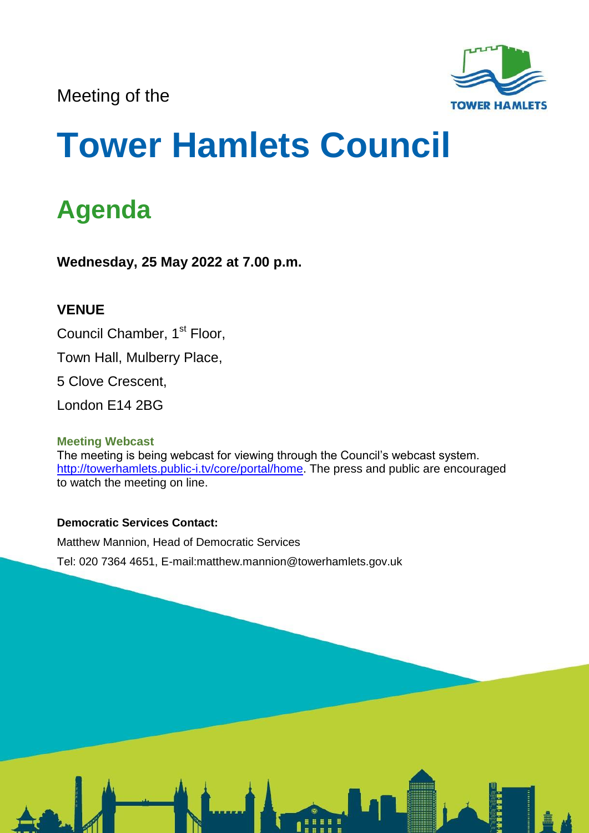Meeting of the



# **Tower Hamlets Council**

# **Agenda**

**Wednesday, 25 May 2022 at 7.00 p.m.**

# **VENUE**

Council Chamber, 1<sup>st</sup> Floor,

Town Hall, Mulberry Place,

5 Clove Crescent,

London E14 2BG

## **Meeting Webcast**

The meeting is being webcast for viewing through the Council's webcast system. [http://towerhamlets.public-i.tv/core/portal/home.](http://towerhamlets.public-i.tv/core/portal/home) The press and public are encouraged to watch the meeting on line.

#### **Democratic Services Contact:**

Matthew Mannion, Head of Democratic Services

Tel: 020 7364 4651, E-mail:matthew.mannion@towerhamlets.gov.uk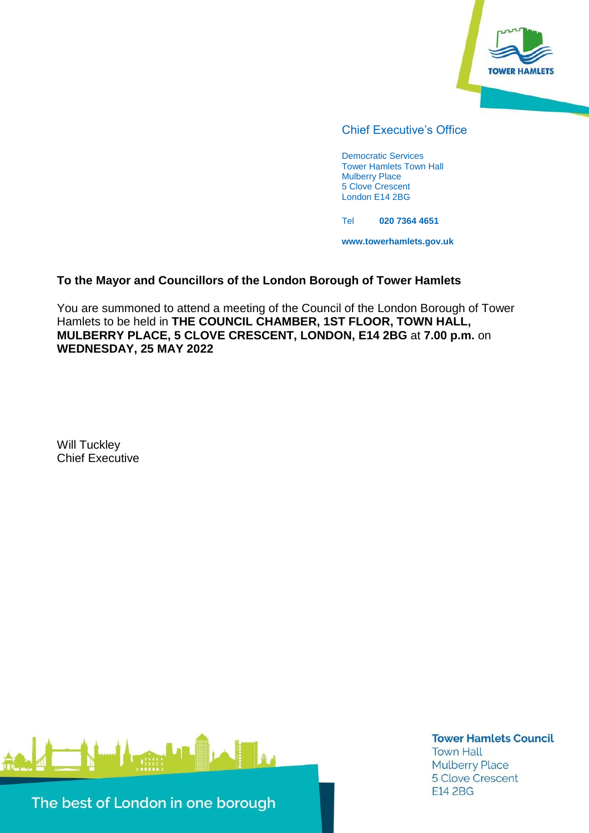

#### Chief Executive's Office

Democratic Services Tower Hamlets Town Hall Mulberry Place 5 Clove Crescent London E14 2BG

Tel **020 7364 4651**

**www.towerhamlets.gov.uk**

#### **To the Mayor and Councillors of the London Borough of Tower Hamlets**

You are summoned to attend a meeting of the Council of the London Borough of Tower Hamlets to be held in **THE COUNCIL CHAMBER, 1ST FLOOR, TOWN HALL, MULBERRY PLACE, 5 CLOVE CRESCENT, LONDON, E14 2BG** at **7.00 p.m.** on **WEDNESDAY, 25 MAY 2022**

Will Tuckley Chief Executive



**Tower Hamlets Council Town Hall Mulberry Place** 5 Clove Crescent **E14 2BG** 

The best of London in one borough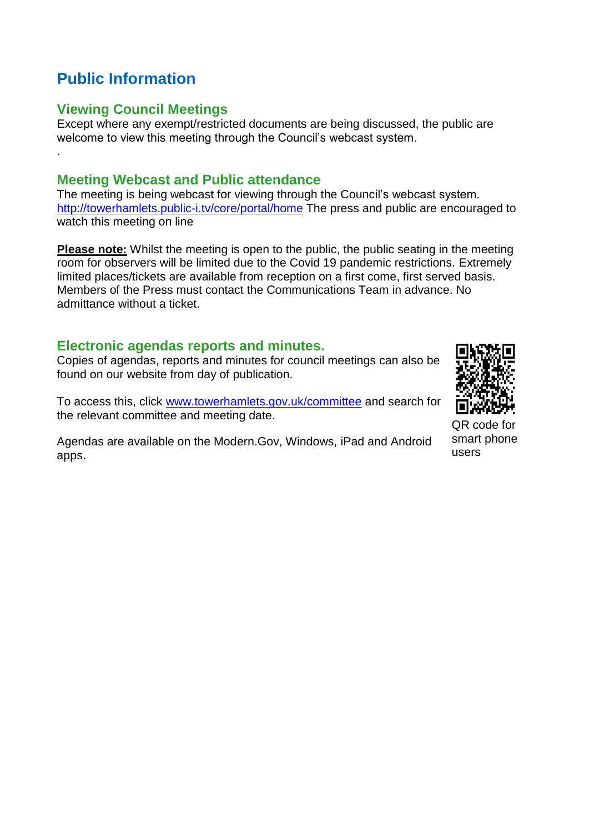# **Public Information**

.

#### **Viewing Council Meetings**

Except where any exempt/restricted documents are being discussed, the public are welcome to view this meeting through the Council's webcast system.

#### **Meeting Webcast and Public attendance**

The meeting is being webcast for viewing through the Council's webcast system. <http://towerhamlets.public-i.tv/core/portal/home> The press and public are encouraged to watch this meeting on line

**Please note:** Whilst the meeting is open to the public, the public seating in the meeting room for observers will be limited due to the Covid 19 pandemic restrictions. Extremely limited places/tickets are available from reception on a first come, first served basis. Members of the Press must contact the Communications Team in advance. No admittance without a ticket.

#### **Electronic agendas reports and minutes.**

Copies of agendas, reports and minutes for council meetings can also be found on our website from day of publication.

To access this, click [www.towerhamlets.gov.uk/committee](http://www.towerhamlets.gov.uk/committee) and search for the relevant committee and meeting date.

Agendas are available on the Modern.Gov, Windows, iPad and Android apps.

QR code for smart phone users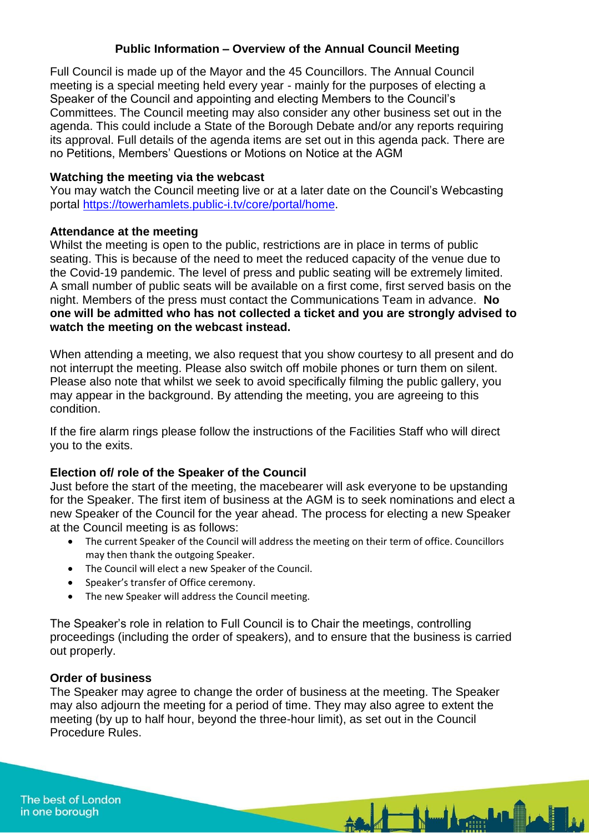#### **Public Information – Overview of the Annual Council Meeting**

Full Council is made up of the Mayor and the 45 Councillors. The Annual Council meeting is a special meeting held every year - mainly for the purposes of electing a Speaker of the Council and appointing and electing Members to the Council's Committees. The Council meeting may also consider any other business set out in the agenda. This could include a State of the Borough Debate and/or any reports requiring its approval. Full details of the agenda items are set out in this agenda pack. There are no Petitions, Members' Questions or Motions on Notice at the AGM

#### **Watching the meeting via the webcast**

You may watch the Council meeting live or at a later date on the Council's Webcasting portal [https://towerhamlets.public-i.tv/core/portal/home.](https://towerhamlets.public-i.tv/core/portal/home)

#### **Attendance at the meeting**

Whilst the meeting is open to the public, restrictions are in place in terms of public seating. This is because of the need to meet the reduced capacity of the venue due to the Covid-19 pandemic. The level of press and public seating will be extremely limited. A small number of public seats will be available on a first come, first served basis on the night. Members of the press must contact the Communications Team in advance. **No one will be admitted who has not collected a ticket and you are strongly advised to watch the meeting on the webcast instead.**

When attending a meeting, we also request that you show courtesy to all present and do not interrupt the meeting. Please also switch off mobile phones or turn them on silent. Please also note that whilst we seek to avoid specifically filming the public gallery, you may appear in the background. By attending the meeting, you are agreeing to this condition.

If the fire alarm rings please follow the instructions of the Facilities Staff who will direct you to the exits.

#### **Election of/ role of the Speaker of the Council**

Just before the start of the meeting, the macebearer will ask everyone to be upstanding for the Speaker. The first item of business at the AGM is to seek nominations and elect a new Speaker of the Council for the year ahead. The process for electing a new Speaker at the Council meeting is as follows:

- The current Speaker of the Council will address the meeting on their term of office. Councillors may then thank the outgoing Speaker.
- The Council will elect a new Speaker of the Council.
- Speaker's transfer of Office ceremony.
- The new Speaker will address the Council meeting.

The Speaker's role in relation to Full Council is to Chair the meetings, controlling proceedings (including the order of speakers), and to ensure that the business is carried out properly.

#### **Order of business**

The Speaker may agree to change the order of business at the meeting. The Speaker may also adjourn the meeting for a period of time. They may also agree to extent the meeting (by up to half hour, beyond the three-hour limit), as set out in the Council Procedure Rules.

And Marine Latin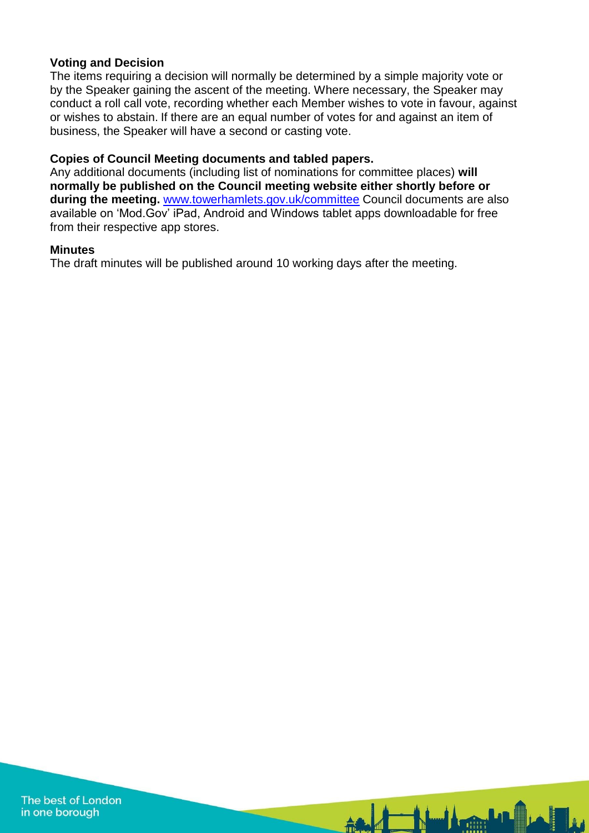#### **Voting and Decision**

The items requiring a decision will normally be determined by a simple majority vote or by the Speaker gaining the ascent of the meeting. Where necessary, the Speaker may conduct a roll call vote, recording whether each Member wishes to vote in favour, against or wishes to abstain. If there are an equal number of votes for and against an item of business, the Speaker will have a second or casting vote.

#### **Copies of Council Meeting documents and tabled papers.**

Any additional documents (including list of nominations for committee places) **will normally be published on the Council meeting website either shortly before or during the meeting.** [www.towerhamlets.gov.uk/committee](http://www.towerhamlets.gov.uk/committee) Council documents are also available on 'Mod.Gov' iPad, Android and Windows tablet apps downloadable for free from their respective app stores.

**And the Humble Line** 

#### **Minutes**

The draft minutes will be published around 10 working days after the meeting.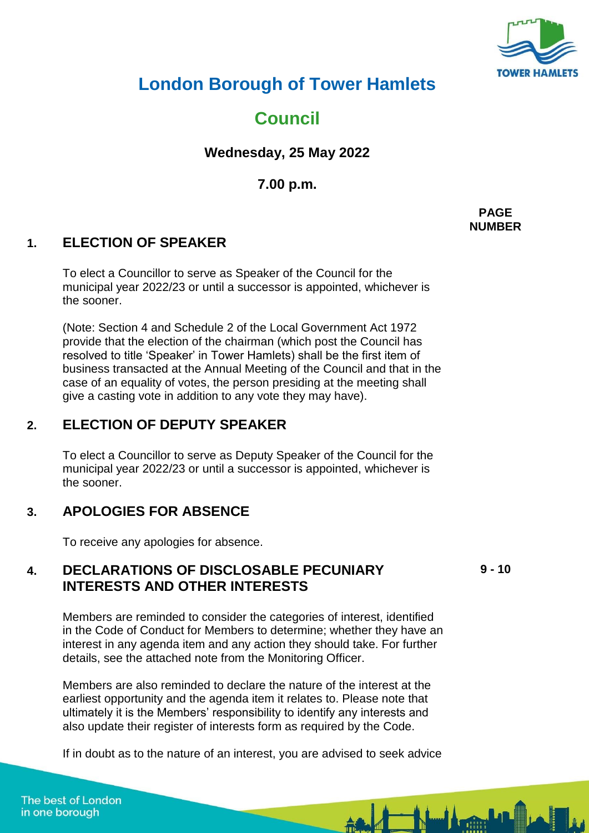

# **London Borough of Tower Hamlets**

**Council**

**Wednesday, 25 May 2022**

**7.00 p.m.**

**1. ELECTION OF SPEAKER**

To elect a Councillor to serve as Speaker of the Council for the municipal year 2022/23 or until a successor is appointed, whichever is the sooner.

(Note: Section 4 and Schedule 2 of the Local Government Act 1972 provide that the election of the chairman (which post the Council has resolved to title 'Speaker' in Tower Hamlets) shall be the first item of business transacted at the Annual Meeting of the Council and that in the case of an equality of votes, the person presiding at the meeting shall give a casting vote in addition to any vote they may have).

# **2. ELECTION OF DEPUTY SPEAKER**

To elect a Councillor to serve as Deputy Speaker of the Council for the municipal year 2022/23 or until a successor is appointed, whichever is the sooner.

## **3. APOLOGIES FOR ABSENCE**

To receive any apologies for absence.

#### **4. DECLARATIONS OF DISCLOSABLE PECUNIARY INTERESTS AND OTHER INTERESTS**

**9 - 10**

Members are reminded to consider the categories of interest, identified in the Code of Conduct for Members to determine; whether they have an interest in any agenda item and any action they should take. For further details, see the attached note from the Monitoring Officer.

Members are also reminded to declare the nature of the interest at the earliest opportunity and the agenda item it relates to. Please note that ultimately it is the Members' responsibility to identify any interests and also update their register of interests form as required by the Code.

If in doubt as to the nature of an interest, you are advised to seek advice

**PAGE NUMBER**